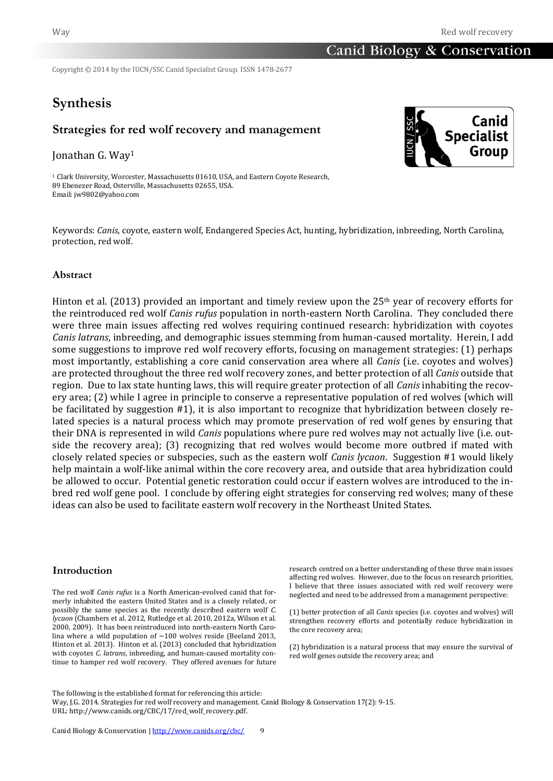# Canid Biology & Conservation

Copyright © 2014 by the IUCN/SSC Canid Specialist Group. ISSN 1478-2677

# **Synthesis**

# **Strategies for red wolf recovery and management**

Jonathan G. Way<sup>1</sup>

<sup>1</sup> Clark University, Worcester, Massachusetts 01610, USA, and Eastern Coyote Research, 89 Ebenezer Road, Osterville, Massachusetts 02655, USA. Email[: jw9802@yahoo.com](mailto:jw9802@yahoo.com)



Keywords: *Canis*, coyote, eastern wolf, Endangered Species Act, hunting, hybridization, inbreeding, North Carolina, protection, red wolf.

## **Abstract**

Hinton et al. (2013) provided an important and timely review upon the  $25<sup>th</sup>$  year of recovery efforts for the reintroduced red wolf *Canis rufus* population in north-eastern North Carolina. They concluded there were three main issues affecting red wolves requiring continued research: hybridization with coyotes *Canis latrans*, inbreeding, and demographic issues stemming from human-caused mortality. Herein, I add some suggestions to improve red wolf recovery efforts, focusing on management strategies: (1) perhaps most importantly, establishing a core canid conservation area where all *Canis* (i.e. coyotes and wolves) are protected throughout the three red wolf recovery zones, and better protection of all *Canis* outside that region. Due to lax state hunting laws, this will require greater protection of all *Canis* inhabiting the recovery area; (2) while I agree in principle to conserve a representative population of red wolves (which will be facilitated by suggestion #1), it is also important to recognize that hybridization between closely related species is a natural process which may promote preservation of red wolf genes by ensuring that their DNA is represented in wild *Canis* populations where pure red wolves may not actually live (i.e. outside the recovery area); (3) recognizing that red wolves would become more outbred if mated with closely related species or subspecies, such as the eastern wolf *Canis lycaon*. Suggestion #1 would likely help maintain a wolf-like animal within the core recovery area, and outside that area hybridization could be allowed to occur. Potential genetic restoration could occur if eastern wolves are introduced to the inbred red wolf gene pool. I conclude by offering eight strategies for conserving red wolves; many of these ideas can also be used to facilitate eastern wolf recovery in the Northeast United States.

### **Introduction**

The red wolf *Canis rufus* is a North American-evolved canid that formerly inhabited the eastern United States and is a closely related, or possibly the same species as the recently described eastern wolf *C. lycaon* (Chambers et al. 2012, Rutledge et al. 2010, 2012a, Wilson et al. 2000, 2009). It has been reintroduced into north-eastern North Carolina where a wild population of  $\sim$ 100 wolves reside (Beeland 2013, Hinton et al. 2013). Hinton et al. (2013) concluded that hybridization with coyotes *C. latrans*, inbreeding, and human-caused mortality continue to hamper red wolf recovery. They offered avenues for future

research centred on a better understanding of these three main issues affecting red wolves. However, due to the focus on research priorities, I believe that three issues associated with red wolf recovery were neglected and need to be addressed from a management perspective:

(1) better protection of all *Canis* species (i.e. coyotes and wolves) will strengthen recovery efforts and potentially reduce hybridization in the core recovery area;

(2) hybridization is a natural process that may ensure the survival of red wolf genes outside the recovery area; and

The following is the established format for referencing this article: Way, J.G. 2014. Strategies for red wolf recovery and management. Canid Biology & Conservation 17(2): 9-15. URL: http://www.canids.org/CBC/17/red\_wolf\_recovery.pdf.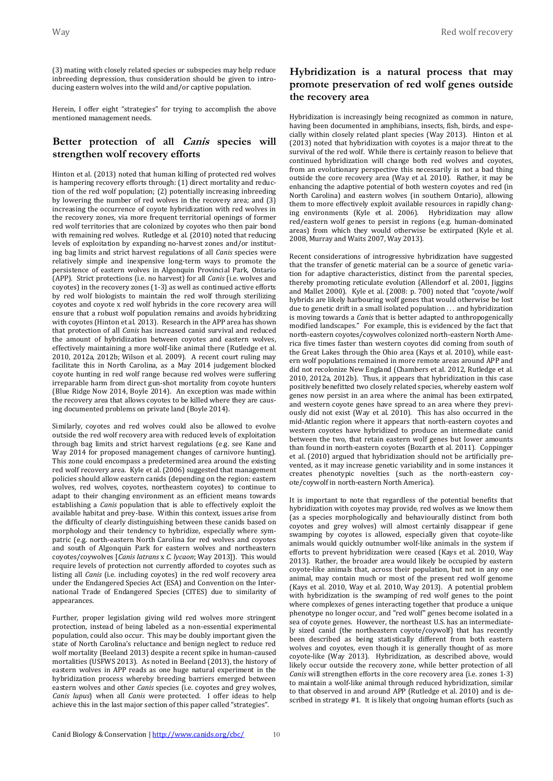(3) mating with closely related species or subspecies may help reduce inbreeding depression, thus consideration should be given to introducing eastern wolves into the wild and/or captive population.

Herein, I offer eight "strategies" for trying to accomplish the above mentioned management needs.

# **Better protection of all Canis species will strengthen wolf recovery efforts**

Hinton et al. (2013) noted that human killing of protected red wolves is hampering recovery efforts through: (1) direct mortality and reduction of the red wolf population; (2) potentially increasing inbreeding by lowering the number of red wolves in the recovery area; and (3) increasing the occurrence of coyote hybridization with red wolves in the recovery zones, via more frequent territorial openings of former red wolf territories that are colonized by coyotes who then pair bond with remaining red wolves. Rutledge et al. (2010) noted that reducing levels of exploitation by expanding no-harvest zones and/or instituting bag limits and strict harvest regulations of all *Canis* species were relatively simple and inexpensive long-term ways to promote the persistence of eastern wolves in Algonquin Provincial Park, Ontario (APP). Strict protections (i.e. no harvest) for all *Canis* (i.e. wolves and coyotes) in the recovery zones (1-3) as well as continued active efforts by red wolf biologists to maintain the red wolf through sterilizing coyotes and coyote x red wolf hybrids in the core recovery area will ensure that a robust wolf population remains and avoids hybridizing with coyotes (Hinton et al. 2013). Research in the APP area has shown that protection of all *Canis* has increased canid survival and reduced the amount of hybridization between coyotes and eastern wolves, effectively maintaining a more wolf-like animal there (Rutledge et al. 2010, 2012a, 2012b; Wilson et al. 2009). A recent court ruling may facilitate this in North Carolina, as a May 2014 judgement blocked coyote hunting in red wolf range because red wolves were suffering irreparable harm from direct gun-shot mortality from coyote hunters (Blue Ridge Now 2014, Boyle 2014). An exception was made within the recovery area that allows coyotes to be killed where they are causing documented problems on private land (Boyle 2014).

Similarly, coyotes and red wolves could also be allowed to evolve outside the red wolf recovery area with reduced levels of exploitation through bag limits and strict harvest regulations (e.g. see Kane and Way 2014 for proposed management changes of carnivore hunting). This zone could encompass a predetermined area around the existing red wolf recovery area. Kyle et al. (2006) suggested that management policies should allow eastern canids (depending on the region: eastern wolves, red wolves, coyotes, northeastern coyotes) to continue to adapt to their changing environment as an efficient means towards establishing a *Canis* population that is able to effectively exploit the available habitat and prey-base. Within this context, issues arise from the difficulty of clearly distinguishing between these canids based on morphology and their tendency to hybridize, especially where sympatric (e.g. north-eastern North Carolina for red wolves and coyotes and south of Algonquin Park for eastern wolves and northeastern coyotes/coywolves [*Canis latrans* x *C. lycaon*; Way 2013]). This would require levels of protection not currently afforded to coyotes such as listing all *Canis* (i.e. including coyotes) in the red wolf recovery area under the Endangered Species Act (ESA) and Convention on the International Trade of Endangered Species (CITES) due to similarity of appearances.

Further, proper legislation giving wild red wolves more stringent protection, instead of being labeled as a non-essential experimental population, could also occur. This may be doubly important given the state of North Carolina's reluctance and benign neglect to reduce red wolf mortality (Beeland 2013) despite a recent spike in human-caused mortalities (USFWS 2013). As noted in Beeland (2013), the history of eastern wolves in APP reads as one huge natural experiment in the hybridization process whereby breeding barriers emerged between eastern wolves and other *Canis* species (i.e. coyotes and grey wolves, *Canis lupus*) when all *Canis* were protected. I offer ideas to help achieve this in the last major section of this paper called "strategies".

# **Hybridization is a natural process that may promote preservation of red wolf genes outside the recovery area**

Hybridization is increasingly being recognized as common in nature, having been documented in amphibians, insects, fish, birds, and especially within closely related plant species (Way 2013). Hinton et al. (2013) noted that hybridization with coyotes is a major threat to the survival of the red wolf. While there is certainly reason to believe that continued hybridization will change both red wolves and coyotes, from an evolutionary perspective this necessarily is not a bad thing outside the core recovery area (Way et al. 2010). Rather, it may be enhancing the adaptive potential of both western coyotes and red (in North Carolina) and eastern wolves (in southern Ontario), allowing them to more effectively exploit available resources in rapidly changing environments (Kyle et al. 2006). Hybridization may allow red/eastern wolf genes to persist in regions (e.g. human-dominated areas) from which they would otherwise be extirpated (Kyle et al. 2008, Murray and Waits 2007, Way 2013).

Recent considerations of introgressive hybridization have suggested that the transfer of genetic material can be a source of genetic variation for adaptive characteristics, distinct from the parental species, thereby promoting reticulate evolution (Allendorf et al. 2001, Jiggins and Mallet 2000). Kyle et al. (2008: p. 700) noted that "coyote/wolf hybrids are likely harbouring wolf genes that would otherwise be lost due to genetic drift in a small isolated population . . . and hybridization is moving towards a *Canis* that is better adapted to anthropogenically modified landscapes." For example, this is evidenced by the fact that north-eastern coyotes/coywolves colonized north-eastern North America five times faster than western coyotes did coming from south of the Great Lakes through the Ohio area (Kays et al. 2010), while eastern wolf populations remained in more remote areas around APP and did not recolonize New England (Chambers et al. 2012, Rutledge et al. 2010, 2012a, 2012b). Thus, it appears that hybridization in this case positively benefitted two closely related species, whereby eastern wolf genes now persist in an area where the animal has been extirpated, and western coyote genes have spread to an area where they previously did not exist (Way et al. 2010). This has also occurred in the mid-Atlantic region where it appears that north-eastern coyotes and western coyotes have hybridized to produce an intermediate canid between the two, that retain eastern wolf genes but lower amounts than found in north-eastern coyotes (Bozarth et al. 2011). Coppinger et al. (2010) argued that hybridization should not be artificially prevented, as it may increase genetic variability and in some instances it creates phenotypic novelties (such as the north-eastern coyote/coywolf in north-eastern North America).

It is important to note that regardless of the potential benefits that hybridization with coyotes may provide, red wolves as we know them (as a species morphologically and behaviourally distinct from both coyotes and grey wolves) will almost certainly disappear if gene swamping by coyotes is allowed, especially given that coyote-like animals would quickly outnumber wolf-like animals in the system if efforts to prevent hybridization were ceased (Kays et al. 2010, Way 2013). Rather, the broader area would likely be occupied by eastern coyote-like animals that, across their population, but not in any one animal, may contain much or most of the present red wolf genome (Kays et al. 2010, Way et al. 2010, Way 2013). A potential problem with hybridization is the swamping of red wolf genes to the point where complexes of genes interacting together that produce a unique phenotype no longer occur, and "red wolf" genes become isolated in a sea of coyote genes. However, the northeast U.S. has an intermediately sized canid (the northeastern coyote/coywolf) that has recently been described as being statistically different from both eastern wolves and coyotes, even though it is generally thought of as more coyote-like (Way 2013). Hybridization, as described above, would likely occur outside the recovery zone, while better protection of all *Canis* will strengthen efforts in the core recovery area (i.e. zones 1-3) to maintain a wolf-like animal through reduced hybridization, similar to that observed in and around APP (Rutledge et al. 2010) and is described in strategy #1. It is likely that ongoing human efforts (such as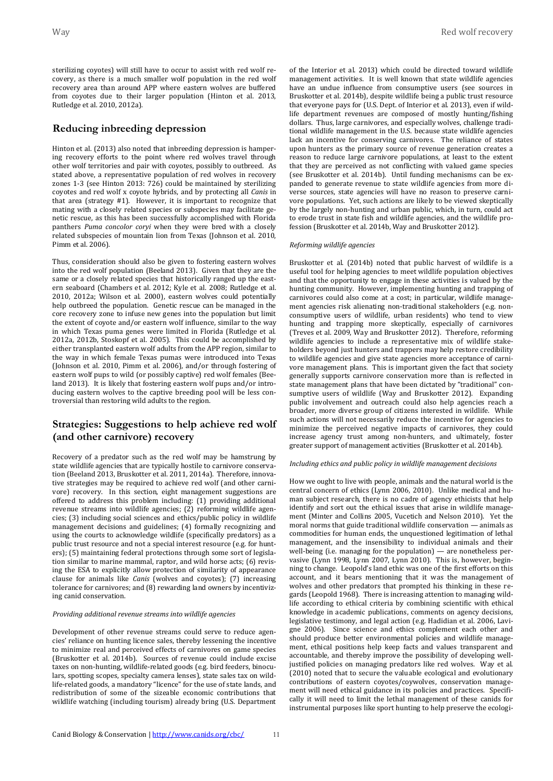sterilizing coyotes) will still have to occur to assist with red wolf recovery, as there is a much smaller wolf population in the red wolf recovery area than around APP where eastern wolves are buffered from coyotes due to their larger population (Hinton et al. 2013, Rutledge et al. 2010, 2012a).

### **Reducing inbreeding depression**

Hinton et al. (2013) also noted that inbreeding depression is hampering recovery efforts to the point where red wolves travel through other wolf territories and pair with coyotes, possibly to outbreed. As stated above, a representative population of red wolves in recovery zones 1-3 (see Hinton 2013: 726) could be maintained by sterilizing coyotes and red wolf x coyote hybrids, and by protecting all *Canis* in that area (strategy #1). However, it is important to recognize that mating with a closely related species or subspecies may facilitate genetic rescue, as this has been successfully accomplished with Florida panthers *Puma concolor coryi* when they were bred with a closely related subspecies of mountain lion from Texas (Johnson et al. 2010, Pimm et al. 2006).

Thus, consideration should also be given to fostering eastern wolves into the red wolf population (Beeland 2013). Given that they are the same or a closely related species that historically ranged up the eastern seaboard (Chambers et al. 2012; Kyle et al. 2008; Rutledge et al. 2010, 2012a; Wilson et al. 2000), eastern wolves could potentially help outbreed the population. Genetic rescue can be managed in the core recovery zone to infuse new genes into the population but limit the extent of coyote and/or eastern wolf influence, similar to the way in which Texas puma genes were limited in Florida (Rutledge et al. 2012a, 2012b, Stoskopf et al. 2005). This could be accomplished by either transplanted eastern wolf adults from the APP region, similar to the way in which female Texas pumas were introduced into Texas (Johnson et al. 2010, Pimm et al. 2006), and/or through fostering of eastern wolf pups to wild (or possibly captive) red wolf females (Beeland 2013). It is likely that fostering eastern wolf pups and/or introducing eastern wolves to the captive breeding pool will be less controversial than restoring wild adults to the region.

# **Strategies: Suggestions to help achieve red wolf (and other carnivore) recovery**

Recovery of a predator such as the red wolf may be hamstrung by state wildlife agencies that are typically hostile to carnivore conservation (Beeland 2013, Bruskotter et al. 2011, 2014a). Therefore, innovative strategies may be required to achieve red wolf (and other carnivore) recovery. In this section, eight management suggestions are offered to address this problem including: (1) providing additional revenue streams into wildlife agencies; (2) reforming wildlife agencies; (3) including social sciences and ethics/public policy in wildlife management decisions and guidelines; (4) formally recognizing and using the courts to acknowledge wildlife (specifically predators) as a public trust resource and not a special interest resource (e.g. for hunters); (5) maintaining federal protections through some sort of legislation similar to marine mammal, raptor, and wild horse acts; (6) revising the ESA to explicitly allow protection of similarity of appearance clause for animals like *Canis* (wolves and coyotes); (7) increasing tolerance for carnivores; and (8) rewarding land owners by incentivizing canid conservation.

#### *Providing additional revenue streams into wildlife agencies*

Development of other revenue streams could serve to reduce agencies' reliance on hunting licence sales, thereby lessening the incentive to minimize real and perceived effects of carnivores on game species (Bruskotter et al. 2014b). Sources of revenue could include excise taxes on non-hunting, wildlife-related goods (e.g. bird feeders, binoculars, spotting scopes, specialty camera lenses), state sales tax on wildlife-related goods, a mandatory "licence" for the use of state lands, and redistribution of some of the sizeable economic contributions that wildlife watching (including tourism) already bring (U.S. Department of the Interior et al. 2013) which could be directed toward wildlife management activities. It is well known that state wildlife agencies have an undue influence from consumptive users (see sources in Bruskotter et al. 2014b), despite wildlife being a public trust resource that everyone pays for (U.S. Dept. of Interior et al. 2013), even if wildlife department revenues are composed of mostly hunting/fishing dollars. Thus, large carnivores, and especially wolves, challenge traditional wildlife management in the U.S. because state wildlife agencies lack an incentive for conserving carnivores. The reliance of states upon hunters as the primary source of revenue generation creates a reason to reduce large carnivore populations, at least to the extent that they are perceived as not conflicting with valued game species (see Bruskotter et al. 2014b). Until funding mechanisms can be expanded to generate revenue to state wildlife agencies from more diverse sources, state agencies will have no reason to preserve carnivore populations. Yet, such actions are likely to be viewed skeptically by the largely non-hunting and urban public, which, in turn, could act to erode trust in state fish and wildlife agencies, and the wildlife profession (Bruskotter et al. 2014b, Way and Bruskotter 2012).

#### *Reforming wildlife agencies*

Bruskotter et al. (2014b) noted that public harvest of wildlife is a useful tool for helping agencies to meet wildlife population objectives and that the opportunity to engage in these activities is valued by the hunting community. However, implementing hunting and trapping of carnivores could also come at a cost; in particular, wildlife management agencies risk alienating non-traditional stakeholders (e.g. nonconsumptive users of wildlife, urban residents) who tend to view hunting and trapping more skeptically, especially of carnivores (Treves et al. 2009, Way and Bruskotter 2012). Therefore, reforming wildlife agencies to include a representative mix of wildlife stakeholders beyond just hunters and trappers may help restore credibility to wildlife agencies and give state agencies more acceptance of carnivore management plans. This is important given the fact that society generally supports carnivore conservation more than is reflected in state management plans that have been dictated by "traditional" consumptive users of wildlife (Way and Bruskotter 2012). Expanding public involvement and outreach could also help agencies reach a broader, more diverse group of citizens interested in wildlife. While such actions will not necessarily reduce the incentive for agencies to minimize the perceived negative impacts of carnivores, they could increase agency trust among non-hunters, and ultimately, foster greater support of management activities (Bruskotter et al. 2014b).

#### *Including ethics and public policy in wildlife management decisions*

How we ought to live with people, animals and the natural world is the central concern of ethics (Lynn 2006, 2010). Unlike medical and human subject research, there is no cadre of agency ethicists that help identify and sort out the ethical issues that arise in wildlife management (Minter and Collins 2005, Vucetich and Nelson 2010). Yet the moral norms that guide traditional wildlife conservation — animals as commodities for human ends, the unquestioned legitimation of lethal management, and the insensibility to individual animals and their well-being (i.e. managing for the population) — are nonetheless pervasive (Lynn 1998, Lynn 2007, Lynn 2010). This is, however, beginning to change. Leopold's land ethic was one of the first efforts on this account, and it bears mentioning that it was the management of wolves and other predators that prompted his thinking in these regards (Leopold 1968). There is increasing attention to managing wildlife according to ethical criteria by combining scientific with ethical knowledge in academic publications, comments on agency decisions, legislative testimony, and legal action (e.g. Hadidian et al. 2006, Lavigne 2006). Since science and ethics complement each other and should produce better environmental policies and wildlife management, ethical positions help keep facts and values transparent and accountable, and thereby improve the possibility of developing welljustified policies on managing predators like red wolves. Way et al. (2010) noted that to secure the valuable ecological and evolutionary contributions of eastern coyotes/coywolves, conservation management will need ethical guidance in its policies and practices. Specifically it will need to limit the lethal management of these canids for instrumental purposes like sport hunting to help preserve the ecologi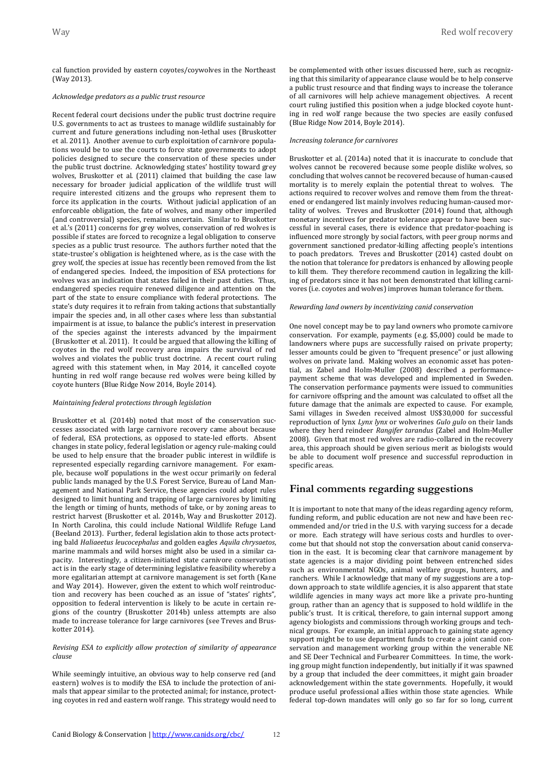cal function provided by eastern coyotes/coywolves in the Northeast (Way 2013).

#### *Acknowledge predators as a public trust resource*

Recent federal court decisions under the public trust doctrine require U.S. governments to act as trustees to manage wildlife sustainably for current and future generations including non-lethal uses (Bruskotter et al. 2011). Another avenue to curb exploitation of carnivore populations would be to use the courts to force state governments to adopt policies designed to secure the conservation of these species under the public trust doctrine. Acknowledging states' hostility toward grey wolves, Bruskotter et al. (2011) claimed that building the case law necessary for broader judicial application of the wildlife trust will require interested citizens and the groups who represent them to force its application in the courts. Without judicial application of an enforceable obligation, the fate of wolves, and many other imperiled (and controversial) species, remains uncertain. Similar to Bruskotter et al.'s (2011) concerns for grey wolves, conservation of red wolves is possible if states are forced to recognize a legal obligation to conserve species as a public trust resource. The authors further noted that the state-trustee's obligation is heightened where, as is the case with the grey wolf, the species at issue has recently been removed from the list of endangered species. Indeed, the imposition of ESA protections for wolves was an indication that states failed in their past duties. Thus, endangered species require renewed diligence and attention on the part of the state to ensure compliance with federal protections. The state's duty requires it to refrain from taking actions that substantially impair the species and, in all other cases where less than substantial impairment is at issue, to balance the public's interest in preservation of the species against the interests advanced by the impairment (Bruskotter et al. 2011). It could be argued that allowing the killing of coyotes in the red wolf recovery area impairs the survival of red wolves and violates the public trust doctrine. A recent court ruling agreed with this statement when, in May 2014, it cancelled coyote hunting in red wolf range because red wolves were being killed by coyote hunters (Blue Ridge Now 2014, Boyle 2014).

#### *Maintaining federal protections through legislation*

Bruskotter et al. (2014b) noted that most of the conservation successes associated with large carnivore recovery came about because of federal, ESA protections, as opposed to state-led efforts. Absent changes in state policy, federal legislation or agency rule-making could be used to help ensure that the broader public interest in wildlife is represented especially regarding carnivore management. For example, because wolf populations in the west occur primarily on federal public lands managed by the U.S. Forest Service, Bureau of Land Management and National Park Service, these agencies could adopt rules designed to limit hunting and trapping of large carnivores by limiting the length or timing of hunts, methods of take, or by zoning areas to restrict harvest (Bruskotter et al. 2014b, Way and Bruskotter 2012). In North Carolina, this could include National Wildlife Refuge Land (Beeland 2013). Further, federal legislation akin to those acts protecting bald *Haliaeetus leucocephalus* and golden eagles *Aquila chrysaetos*, marine mammals and wild horses might also be used in a similar capacity. Interestingly, a citizen-initiated state carnivore conservation act is in the early stage of determining legislative feasibility whereby a more egalitarian attempt at carnivore management is set forth (Kane and Way 2014). However, given the extent to which wolf reintroduction and recovery has been couched as an issue of "states' rights", opposition to federal intervention is likely to be acute in certain regions of the country (Bruskotter 2014b) unless attempts are also made to increase tolerance for large carnivores (see Treves and Bruskotter 2014).

#### *Revising ESA to explicitly allow protection of similarity of appearance clause*

While seemingly intuitive, an obvious way to help conserve red (and eastern) wolves is to modify the ESA to include the protection of animals that appear similar to the protected animal; for instance, protecting coyotes in red and eastern wolf range. This strategy would need to be complemented with other issues discussed here, such as recognizing that this similarity of appearance clause would be to help conserve a public trust resource and that finding ways to increase the tolerance of all carnivores will help achieve management objectives. A recent court ruling justified this position when a judge blocked coyote hunting in red wolf range because the two species are easily confused (Blue Ridge Now 2014, Boyle 2014).

#### *Increasing tolerance for carnivores*

Bruskotter et al. (2014a) noted that it is inaccurate to conclude that wolves cannot be recovered because some people dislike wolves, so concluding that wolves cannot be recovered because of human-caused mortality is to merely explain the potential threat to wolves. The actions required to recover wolves and remove them from the threatened or endangered list mainly involves reducing human-caused mortality of wolves. Treves and Bruskotter (2014) found that, although monetary incentives for predator tolerance appear to have been successful in several cases, there is evidence that predator-poaching is influenced more strongly by social factors, with peer group norms and government sanctioned predator-killing affecting people's intentions to poach predators. Treves and Bruskotter (2014) casted doubt on the notion that tolerance for predators is enhanced by allowing people to kill them. They therefore recommend caution in legalizing the killing of predators since it has not been demonstrated that killing carnivores (i.e. coyotes and wolves) improves human tolerance for them.

#### *Rewarding land owners by incentivizing canid conservation*

One novel concept may be to pay land owners who promote carnivore conservation. For example, payments (e.g. \$5,000) could be made to landowners where pups are successfully raised on private property; lesser amounts could be given to "frequent presence" or just allowing wolves on private land. Making wolves an economic asset has potential, as Zabel and Holm-Muller (2008) described a performancepayment scheme that was developed and implemented in Sweden. The conservation performance payments were issued to communities for carnivore offspring and the amount was calculated to offset all the future damage that the animals are expected to cause. For example, Sami villages in Sweden received almost US\$30,000 for successful reproduction of lynx *Lynx lynx* or wolverines *Gulo gulo* on their lands where they herd reindeer *Rangifer tarandus* (Zabel and Holm-Muller 2008). Given that most red wolves are radio-collared in the recovery area, this approach should be given serious merit as biologists would be able to document wolf presence and successful reproduction in specific areas.

### **Final comments regarding suggestions**

It is important to note that many of the ideas regarding agency reform, funding reform, and public education are not new and have been recommended and/or tried in the U.S. with varying success for a decade or more. Each strategy will have serious costs and hurdles to overcome but that should not stop the conversation about canid conservation in the east. It is becoming clear that carnivore management by state agencies is a major dividing point between entrenched sides such as environmental NGOs, animal welfare groups, hunters, and ranchers. While I acknowledge that many of my suggestions are a topdown approach to state wildlife agencies, it is also apparent that state wildlife agencies in many ways act more like a private pro-hunting group, rather than an agency that is supposed to hold wildlife in the public's trust. It is critical, therefore, to gain internal support among agency biologists and commissions through working groups and technical groups. For example, an initial approach to gaining state agency support might be to use department funds to create a joint canid conservation and management working group within the venerable NE and SE Deer Technical and Furbearer Committees. In time, the working group might function independently, but initially if it was spawned by a group that included the deer committees, it might gain broader acknowledgement within the state governments. Hopefully, it would produce useful professional allies within those state agencies. While federal top-down mandates will only go so far for so long, current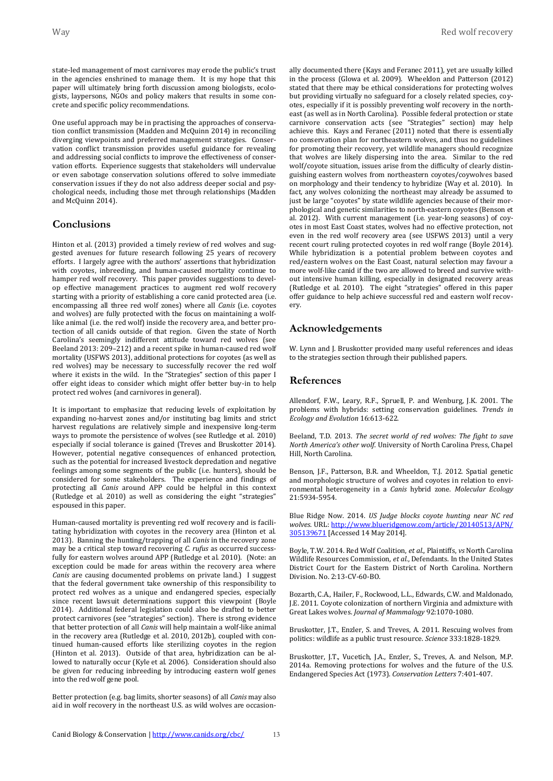state-led management of most carnivores may erode the public's trust in the agencies enshrined to manage them. It is my hope that this paper will ultimately bring forth discussion among biologists, ecologists, laypersons, NGOs and policy makers that results in some concrete and specific policy recommendations.

One useful approach may be in practising the approaches of conservation conflict transmission (Madden and McQuinn 2014) in reconciling diverging viewpoints and preferred management strategies. Conservation conflict transmission provides useful guidance for revealing and addressing social conflicts to improve the effectiveness of conservation efforts. Experience suggests that stakeholders will undervalue or even sabotage conservation solutions offered to solve immediate conservation issues if they do not also address deeper social and psychological needs, including those met through relationships (Madden and McQuinn 2014).

### **Conclusions**

Hinton et al. (2013) provided a timely review of red wolves and suggested avenues for future research following 25 years of recovery efforts. I largely agree with the authors' assertions that hybridization with coyotes, inbreeding, and human-caused mortality continue to hamper red wolf recovery. This paper provides suggestions to develop effective management practices to augment red wolf recovery starting with a priority of establishing a core canid protected area (i.e. encompassing all three red wolf zones) where all *Canis* (i.e. coyotes and wolves) are fully protected with the focus on maintaining a wolflike animal (i.e. the red wolf) inside the recovery area, and better protection of all canids outside of that region. Given the state of North Carolina's seemingly indifferent attitude toward red wolves (see Beeland 2013: 209–212) and a recent spike in human-caused red wolf mortality (USFWS 2013), additional protections for coyotes (as well as red wolves) may be necessary to successfully recover the red wolf where it exists in the wild. In the "Strategies" section of this paper I offer eight ideas to consider which might offer better buy-in to help protect red wolves (and carnivores in general).

It is important to emphasize that reducing levels of exploitation by expanding no-harvest zones and/or instituting bag limits and strict harvest regulations are relatively simple and inexpensive long-term ways to promote the persistence of wolves (see Rutledge et al. 2010) especially if social tolerance is gained (Treves and Bruskotter 2014). However, potential negative consequences of enhanced protection, such as the potential for increased livestock depredation and negative feelings among some segments of the public (i.e. hunters), should be considered for some stakeholders. The experience and findings of protecting all *Canis* around APP could be helpful in this context (Rutledge et al. 2010) as well as considering the eight "strategies" espoused in this paper.

Human-caused mortality is preventing red wolf recovery and is facilitating hybridization with coyotes in the recovery area (Hinton et al. 2013). Banning the hunting/trapping of all *Canis* in the recovery zone may be a critical step toward recovering *C. rufus* as occurred successfully for eastern wolves around APP (Rutledge et al. 2010). (Note: an exception could be made for areas within the recovery area where *Canis* are causing documented problems on private land.) I suggest that the federal government take ownership of this responsibility to protect red wolves as a unique and endangered species, especially since recent lawsuit determinations support this viewpoint (Boyle 2014). Additional federal legislation could also be drafted to better protect carnivores (see "strategies" section). There is strong evidence that better protection of all *Canis* will help maintain a wolf-like animal in the recovery area (Rutledge et al. 2010, 2012b), coupled with continued human-caused efforts like sterilizing coyotes in the region (Hinton et al. 2013). Outside of that area, hybridization can be allowed to naturally occur (Kyle et al. 2006). Consideration should also be given for reducing inbreeding by introducing eastern wolf genes into the red wolf gene pool.

Better protection (e.g. bag limits, shorter seasons) of all *Canis* may also aid in wolf recovery in the northeast U.S. as wild wolves are occasionally documented there (Kays and Feranec 2011), yet are usually killed in the process (Glowa et al. 2009). Wheeldon and Patterson (2012) stated that there may be ethical considerations for protecting wolves but providing virtually no safeguard for a closely related species, coyotes, especially if it is possibly preventing wolf recovery in the northeast (as well as in North Carolina). Possible federal protection or state carnivore conservation acts (see "Strategies" section) may help achieve this. Kays and Feranec (2011) noted that there is essentially no conservation plan for northeastern wolves, and thus no guidelines for promoting their recovery, yet wildlife managers should recognize that wolves are likely dispersing into the area. Similar to the red wolf/coyote situation, issues arise from the difficulty of clearly distinguishing eastern wolves from northeastern coyotes/coywolves based on morphology and their tendency to hybridize (Way et al. 2010). In fact, any wolves colonizing the northeast may already be assumed to just be large "covotes" by state wildlife agencies because of their morphological and genetic similarities to north-eastern coyotes (Benson et al. 2012). With current management (i.e. year-long seasons) of coyotes in most East Coast states, wolves had no effective protection, not even in the red wolf recovery area (see USFWS 2013) until a very recent court ruling protected coyotes in red wolf range (Boyle 2014). While hybridization is a potential problem between covotes and red/eastern wolves on the East Coast, natural selection may favour a more wolf-like canid if the two are allowed to breed and survive without intensive human killing, especially in designated recovery areas (Rutledge et al. 2010). The eight "strategies" offered in this paper offer guidance to help achieve successful red and eastern wolf recovery.

## **Acknowledgements**

W. Lynn and J. Bruskotter provided many useful references and ideas to the strategies section through their published papers.

### **References**

Allendorf, F.W., Leary, R.F., Spruell, P. and Wenburg, J.K. 2001. The problems with hybrids: setting conservation guidelines. *Trends in Ecology and Evolution* 16:613-622.

Beeland, T.D. 2013. *The secret world of red wolves: The fight to save North America's other wolf*. University of North Carolina Press, Chapel Hill, North Carolina.

Benson, J.F., Patterson, B.R. and Wheeldon, T.J. 2012. Spatial genetic and morphologic structure of wolves and coyotes in relation to environmental heterogeneity in a *Canis* hybrid zone. *Molecular Ecology* 21:5934-5954.

Blue Ridge Now. 2014. *US Judge blocks coyote hunting near NC red wolves*. URL: [http://www.blueridgenow.com/article/20140513/APN/](http://www.blueridgenow.com/article/20140513/APN/305139671) [305139671](http://www.blueridgenow.com/article/20140513/APN/305139671) [Accessed 14 May 2014].

Boyle, T.W. 2014. Red Wolf Coalition, *et al.*, Plaintiffs, *vs* North Carolina Wildlife Resources Commission, *et al.*, Defendants. In the United States District Court for the Eastern District of North Carolina. Northern Division. No. 2:13-CV-60-BO.

Bozarth, C.A., Hailer, F., Rockwood, L.L., Edwards, C.W. and Maldonado, J.E. 2011. Coyote colonization of northern Virginia and admixture with Great Lakes wolves. *Journal of Mammalogy* 92:1070-1080.

Bruskotter, J.T., Enzler, S. and Treves, A. 2011. Rescuing wolves from politics: wildlife as a public trust resource. *Science* 333:1828-1829.

Bruskotter, J.T., Vucetich, J.A., Enzler, S., Treves, A. and Nelson, M.P. 2014a. Removing protections for wolves and the future of the U.S. Endangered Species Act (1973). *Conservation Letters* 7:401-407.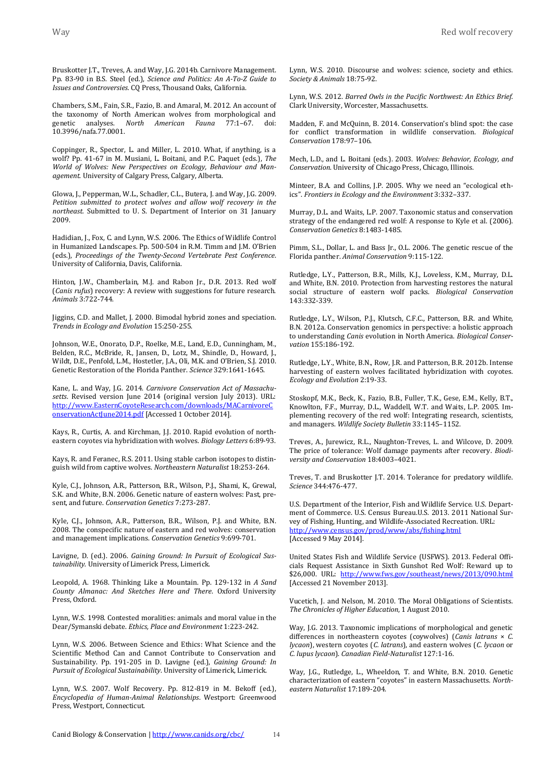Bruskotter J.T., Treves, A. and Way, J.G. 2014b. Carnivore Management. Pp. 83-90 in B.S. Steel (ed.), *Science and Politics: An A-To-Z Guide to Issues and Controversies.* CQ Press, Thousand Oaks, California.

Chambers, S.M., Fain, S.R., Fazio, B. and Amaral, M. 2012. An account of the taxonomy of North American wolves from morphological and genetic analyses. *North American Fauna* 77:1–67. doi: 10.3996/nafa.77.0001.

Coppinger, R., Spector, L. and Miller, L. 2010. What, if anything, is a wolf? Pp. 41-67 in M. Musiani, L. Boitani, and P.C. Paquet (eds.), *The World of Wolves: New Perspectives on Ecology, Behaviour and Management*. University of Calgary Press, Calgary, Alberta.

Glowa, J., Pepperman, W.L., Schadler, C.L., Butera, J. and Way, J.G. 2009. *Petition submitted to protect wolves and allow wolf recovery in the northeast.* Submitted to U. S. Department of Interior on 31 January 2009.

Hadidian, J., Fox, C. and Lynn, W.S. 2006. The Ethics of Wildlife Control in Humanized Landscapes. Pp. 500-504 in R.M. Timm and J.M. O'Brien (eds.), *Proceedings of the Twenty-Second Vertebrate Pest Conference*. University of California, Davis, California.

Hinton, J.W., Chamberlain, M.J. and Rabon Jr., D.R. 2013. Red wolf (*Canis rufus*) recovery: A review with suggestions for future research. *Animals* 3:722-744.

Jiggins, C.D. and Mallet, J. 2000. Bimodal hybrid zones and speciation. *Trends in Ecology and Evolution* 15:250-255.

Johnson, W.E., Onorato, D.P., Roelke, M.E., Land, E.D., Cunningham, M., Belden, R.C., McBride, R., Jansen, D., Lotz, M., Shindle, D., Howard, J., Wildt, D.E., Penfold, L.M., Hostetler, J.A., Oli, M.K. and O'Brien, S.J. 2010. Genetic Restoration of the Florida Panther. *Science* 329:1641-1645.

Kane, L. and Way, J.G. 2014. *Carnivore Conservation Act of Massachusetts*. Revised version June 2014 (original version July 2013). URL: [http://www.EasternCoyoteResearch.com/downloads/MACarnivoreC](http://www.easterncoyoteresearch.com/downloads/MACarnivoreConservationActJune2014.pdf) [onservationActJune2014.pdf](http://www.easterncoyoteresearch.com/downloads/MACarnivoreConservationActJune2014.pdf) [Accessed 1 October 2014].

Kays, R., Curtis, A. and Kirchman, J.J. 2010. Rapid evolution of northeastern coyotes via hybridization with wolves. *Biology Letters* 6:89-93.

Kays, R. and Feranec, R.S. 2011. Using stable carbon isotopes to distinguish wild from captive wolves. *Northeastern Naturalist* 18:253-264.

Kyle, C.J., Johnson, A.R., Patterson, B.R., Wilson, P.J., Shami, K., Grewal, S.K. and White, B.N. 2006. Genetic nature of eastern wolves: Past, present, and future. *Conservation Genetics* 7:273-287.

Kyle, C.J., Johnson, A.R., Patterson, B.R., Wilson, P.J. and White, B.N. 2008. The conspecific nature of eastern and red wolves: conservation and management implications. *Conservation Genetics* 9:699-701.

Lavigne, D. (ed.). 2006. *Gaining Ground: In Pursuit of Ecological Sustainability*. University of Limerick Press, Limerick.

Leopold, A. 1968. Thinking Like a Mountain. Pp. 129-132 in *A Sand County Almanac: And Sketches Here and There*. Oxford University Press, Oxford.

Lynn, W.S. 1998. Contested moralities: animals and moral value in the Dear/Symanski debate. *Ethics, Place and Environment* 1:223-242.

Lynn, W.S. 2006. Between Science and Ethics: What Science and the Scientific Method Can and Cannot Contribute to Conservation and Sustainability. Pp. 191-205 in D. Lavigne (ed.), *Gaining Ground: In Pursuit of Ecological Sustainability*. University of Limerick, Limerick.

Lynn, W.S. 2007. Wolf Recovery. Pp. 812-819 in M. Bekoff (ed.), *Encyclopedia of Human-Animal Relationships*. Westport: Greenwood Press, Westport, Connecticut.

Lynn, W.S. 2010. Discourse and wolves: science, society and ethics. *Society & Animals* 18:75-92.

Lynn, W.S. 2012. *Barred Owls in the Pacific Northwest: An Ethics Brief*. Clark University, Worcester, Massachusetts.

Madden, F. and McQuinn, B. 2014. Conservation's blind spot: the case for conflict transformation in wildlife conservation. *Biological Conservation* 178:97–106.

Mech, L.D., and L. Boitani (eds.). 2003. *Wolves: Behavior, Ecology, and Conservation*. University of Chicago Press, Chicago, Illinois.

Minteer, B.A. and Collins, J.P. 2005. Why we need an "ecological ethics". *Frontiers in Ecology and the Environment* 3:332–337.

Murray, D.L. and Waits, L.P. 2007. Taxonomic status and conservation strategy of the endangered red wolf: A response to Kyle et al. (2006). *Conservation Genetics* 8:1483-1485.

Pimm, S.L., Dollar, L. and Bass Jr., O.L. 2006. The genetic rescue of the Florida panther. *Animal Conservation* 9:115-122.

Rutledge, L.Y., Patterson, B.R., Mills, K.J., Loveless, K.M., Murray, D.L. and White, B.N. 2010. Protection from harvesting restores the natural social structure of eastern wolf packs. *Biological Conservation* 143:332-339.

Rutledge, L.Y., Wilson, P.J., Klutsch, C.F.C., Patterson, B.R. and White, B.N. 2012a. Conservation genomics in perspective: a holistic approach to understanding *Canis* evolution in North America. *Biological Conservation* 155:186-192.

Rutledge, L.Y., White, B.N., Row, J.R. and Patterson, B.R. 2012b. Intense harvesting of eastern wolves facilitated hybridization with coyotes. *Ecology and Evolution* 2:19-33.

Stoskopf, M.K., Beck, K., Fazio, B.B., Fuller, T.K., Gese, E.M., Kelly, B.T., Knowlton, F.F., Murray, D.L., Waddell, W.T. and Waits, L.P. 2005. Implementing recovery of the red wolf: Integrating research, scientists, and managers. *Wildlife Society Bulletin* 33:1145–1152.

Treves, A., Jurewicz, R.L., Naughton-Treves, L. and Wilcove, D. 2009. The price of tolerance: Wolf damage payments after recovery. *Biodiversity and Conservation* 18:4003–4021.

Treves, T. and Bruskotter J.T. 2014. Tolerance for predatory wildlife. *Science* 344:476-477.

U.S. Department of the Interior, Fish and Wildlife Service. U.S. Department of Commerce. U.S. Census Bureau.U.S. 2013. 2011 National Survey of Fishing, Hunting, and Wildlife-Associated Recreation. URL: <http://www.census.gov/prod/www/abs/fishing.html> [Accessed 9 May 2014].

United States Fish and Wildlife Service (USFWS). 2013. Federal Officials Request Assistance in Sixth Gunshot Red Wolf: Reward up to \$26,000. URL: <http://www.fws.gov/southeast/news/2013/090.html> [Accessed 21 November 2013].

Vucetich, J. and Nelson, M. 2010. The Moral Obligations of Scientists. *The Chronicles of Higher Education*, 1 August 2010.

Way, J.G. 2013. Taxonomic implications of morphological and genetic differences in northeastern coyotes (coywolves) (*Canis latrans* × *C. lycaon*), western coyotes (*C. latrans*), and eastern wolves (*C. lycaon* or *C. lupus lycaon*). *Canadian Field-Naturalist* 127:1-16.

Way, J.G., Rutledge, L., Wheeldon, T. and White, B.N. 2010. Genetic characterization of eastern "coyotes" in eastern Massachusetts. *Northeastern Naturalist* 17:189-204.